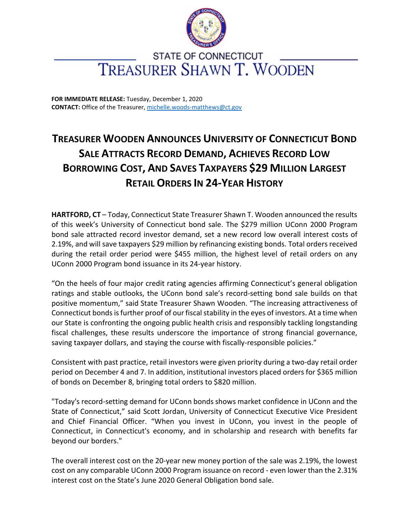

## **STATE OF CONNECTICUT** TREASURER SHAWN T. WOODEN

**FOR IMMEDIATE RELEASE:** Tuesday, December 1, 2020 **CONTACT:** Office of the Treasurer, [michelle.woods-matthews@ct.gov](mailto:michelle.woods-matthews@ct.gov)

## **TREASURER WOODEN ANNOUNCES UNIVERSITY OF CONNECTICUT BOND SALE ATTRACTS RECORD DEMAND, ACHIEVES RECORD LOW BORROWING COST, AND SAVES TAXPAYERS \$29 MILLION LARGEST RETAIL ORDERS IN 24-YEAR HISTORY**

**HARTFORD, CT** – Today, Connecticut State Treasurer Shawn T. Wooden announced the results of this week's University of Connecticut bond sale. The \$279 million UConn 2000 Program bond sale attracted record investor demand, set a new record low overall interest costs of 2.19%, and will save taxpayers \$29 million by refinancing existing bonds. Total orders received during the retail order period were \$455 million, the highest level of retail orders on any UConn 2000 Program bond issuance in its 24-year history.

"On the heels of four major credit rating agencies affirming Connecticut's general obligation ratings and stable outlooks, the UConn bond sale's record-setting bond sale builds on that positive momentum," said State Treasurer Shawn Wooden. "The increasing attractiveness of Connecticut bonds is further proof of our fiscal stability in the eyes of investors. At a time when our State is confronting the ongoing public health crisis and responsibly tackling longstanding fiscal challenges, these results underscore the importance of strong financial governance, saving taxpayer dollars, and staying the course with fiscally-responsible policies."

Consistent with past practice, retail investors were given priority during a two-day retail order period on December 4 and 7. In addition, institutional investors placed orders for \$365 million of bonds on December 8, bringing total orders to \$820 million.

"Today's record-setting demand for UConn bonds shows market confidence in UConn and the State of Connecticut," said Scott Jordan, University of Connecticut Executive Vice President and Chief Financial Officer. "When you invest in UConn, you invest in the people of Connecticut, in Connecticut's economy, and in scholarship and research with benefits far beyond our borders."

The overall interest cost on the 20-year new money portion of the sale was 2.19%, the lowest cost on any comparable UConn 2000 Program issuance on record - even lower than the 2.31% interest cost on the State's June 2020 General Obligation bond sale.